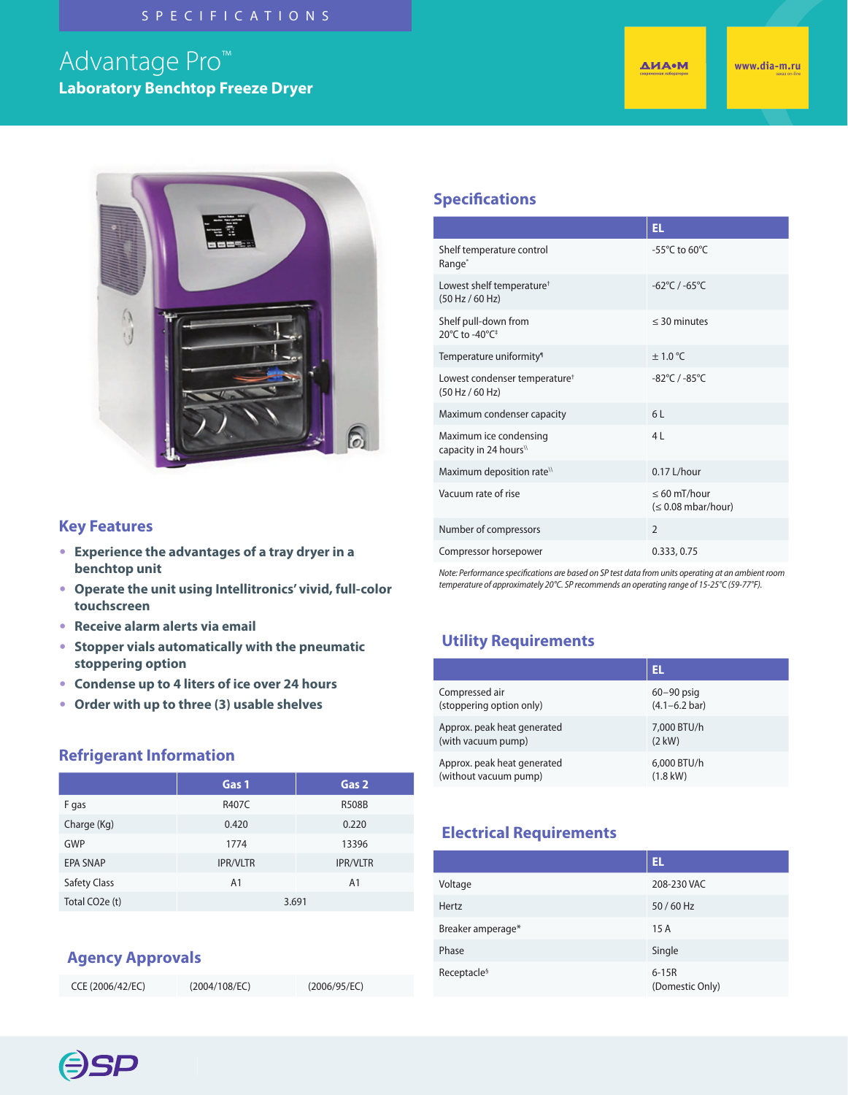#### SPECIFICATIONS

# Advantage Pro™ **Laboratory Benchtop Freeze Dryer**

**ДИА•М** 



#### **Specifications**

|                                                              | EL.                                                 |
|--------------------------------------------------------------|-----------------------------------------------------|
| Shelf temperature control<br>Range <sup>*</sup>              | -55 $\mathrm{^{\circ}C}$ to 60 $\mathrm{^{\circ}C}$ |
| Lowest shelf temperature <sup>+</sup><br>(50 Hz / 60 Hz)     | $-62^{\circ}$ C / $-65^{\circ}$ C                   |
| Shelf pull-down from<br>20°C to -40°C <sup>+</sup>           | $<$ 30 minutes                                      |
| Temperature uniformity <sup>®</sup>                          | $\pm$ 1.0 °C                                        |
| Lowest condenser temperature <sup>†</sup><br>(50 Hz / 60 Hz) | $-82^{\circ}$ C / $-85^{\circ}$ C                   |
| Maximum condenser capacity                                   | 61                                                  |
| Maximum ice condensing<br>capacity in 24 hours <sup>\\</sup> | 4L                                                  |
| Maximum deposition rate <sup>\\</sup>                        | 0.17 L/hour                                         |
| Vacuum rate of rise                                          | $\leq 60$ mT/hour<br>$(0.08 \text{ mbar/hour})$     |
| Number of compressors                                        | $\mathfrak{D}$                                      |
| Compressor horsepower                                        | 0.333, 0.75                                         |

*Note: Performance specifications are based on SP test data from units operating at an ambient room temperature of approximately 20°C. SP recommends an operating range of 15-25°C (59-77°F).*

### **Utility Requirements**

|                             | EL                        |
|-----------------------------|---------------------------|
| Compressed air              | $60 - 90$ psig            |
| (stoppering option only)    | $(4.1 - 6.2 \text{ bar})$ |
| Approx. peak heat generated | 7,000 BTU/h               |
| (with vacuum pump)          | $(2$ kW)                  |
| Approx. peak heat generated | 6,000 BTU/h               |
| (without vacuum pump)       | $(1.8$ kW $)$             |

# **Electrical Requirements**

|                         | EL.                        |
|-------------------------|----------------------------|
| Voltage                 | 208-230 VAC                |
| Hertz                   | 50/60 Hz                   |
| Breaker amperage*       | 15A                        |
| Phase                   | Single                     |
| Receptacle <sup>§</sup> | $6-15R$<br>(Domestic Only) |

#### **Key Features**

- **Experience the advantages of a tray dryer in a benchtop unit**
- **Operate the unit using Intellitronics' vivid, full-color touchscreen**
- **Receive alarm alerts via email**
- **Stopper vials automatically with the pneumatic stoppering option**
- **Condense up to 4 liters of ice over 24 hours**
- **Order with up to three (3) usable shelves**

#### **Refrigerant Information**

| Gas 1           | Gas 2           |
|-----------------|-----------------|
| R407C           | <b>R508B</b>    |
| 0.420           | 0.220           |
| 1774            | 13396           |
| <b>IPR/VLTR</b> | <b>IPR/VLTR</b> |
| A <sub>1</sub>  | A <sub>1</sub>  |
| 3.691           |                 |
|                 |                 |

### **Agency Approvals**

| CCE (2006/42/EC) | (2004/108/EC) | (2006/95/EC) |
|------------------|---------------|--------------|
|                  |               |              |

**ESP**